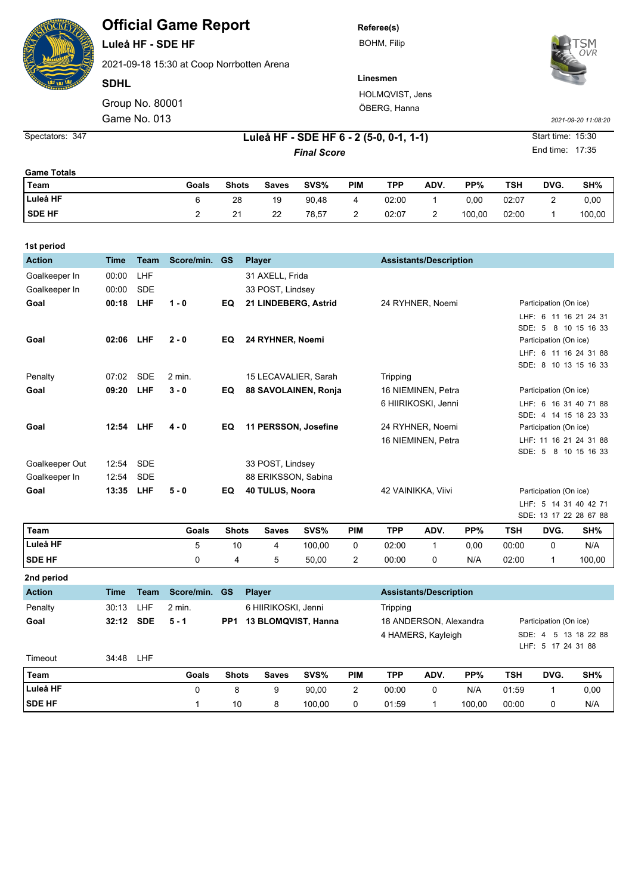**Official Game Report**

**Luleå HF - SDE HF**

2021-09-18 15:30 at Coop Norrbotten Arena

**SDHL**

Game No. 013 Group No. 80001 **Referee(s)** BOHM, Filip



**Linesmen** HOLMQVIST, Jens ÖBERG, Hanna

*2021-09-20 11:08:20*

*Final Score* **6 - 347 - 15:30 Luleå HF - SDE HF 6 - 2 (5-0, 0-1, 1-1)** Start time: 15:30

End time: 17:35

4 HAMERS, Kayleigh SDE: 4 5 13 18 22 88

LHF: 5 17 24 31 88

| <b>Game Totals</b> |       |              |              |       |        |       |      |        |       |      |        |
|--------------------|-------|--------------|--------------|-------|--------|-------|------|--------|-------|------|--------|
| Team               | Goals | <b>Shots</b> | <b>Saves</b> | SVS%  | PIM    | TPP   | ADV. | PP%    | TSH   | DVG. | SH%    |
| Luleå HF           |       | 28           | 19           | 90,48 | 4      | 02:00 |      | 0.00   | 02:07 | -    | 0,00   |
| <b>SDE HF</b>      |       | 21           | 22           | 78,57 | c<br>- | 02:07 | -    | 100,00 | 02:00 |      | 100,00 |

| 1st period     |                                                              |             |               |                 |                  |                      |          |                        |                               |                                                 |                        |                                                 |                        |                       |  |
|----------------|--------------------------------------------------------------|-------------|---------------|-----------------|------------------|----------------------|----------|------------------------|-------------------------------|-------------------------------------------------|------------------------|-------------------------------------------------|------------------------|-----------------------|--|
| <b>Action</b>  | <b>Time</b>                                                  | <b>Team</b> | Score/min. GS |                 |                  | <b>Player</b>        |          |                        | <b>Assistants/Description</b> |                                                 |                        |                                                 |                        |                       |  |
| Goalkeeper In  | 00:00                                                        | LHF         |               |                 |                  | 31 AXELL, Frida      |          |                        |                               |                                                 |                        |                                                 |                        |                       |  |
| Goalkeeper In  | 00:00                                                        | <b>SDE</b>  |               |                 |                  | 33 POST, Lindsey     |          |                        |                               |                                                 |                        |                                                 |                        |                       |  |
| Goal           | 00:18                                                        | LHF         | $1 - 0$       | EQ              |                  | 21 LINDEBERG, Astrid |          | 24 RYHNER, Noemi       |                               | Participation (On ice)                          |                        |                                                 |                        |                       |  |
|                |                                                              |             |               |                 |                  |                      |          |                        |                               |                                                 |                        |                                                 |                        | LHF: 6 11 16 21 24 31 |  |
|                |                                                              |             |               |                 |                  |                      |          |                        |                               |                                                 |                        |                                                 |                        | SDE: 5 8 10 15 16 33  |  |
| Goal           | 02:06                                                        | <b>LHF</b>  | $2 - 0$       | EQ              | 24 RYHNER, Noemi |                      |          |                        |                               |                                                 |                        |                                                 | Participation (On ice) |                       |  |
|                |                                                              |             |               |                 |                  |                      |          |                        |                               |                                                 |                        |                                                 |                        | LHF: 6 11 16 24 31 88 |  |
|                |                                                              | <b>SDE</b>  |               |                 |                  |                      |          |                        |                               |                                                 |                        |                                                 |                        | SDE: 8 10 13 15 16 33 |  |
| Penalty        | 07:02                                                        |             | $2$ min.      |                 |                  | 15 LECAVALIER, Sarah |          |                        | Tripping                      |                                                 |                        |                                                 |                        |                       |  |
| Goal           | 09:20                                                        | LHF         | $3 - 0$       | EQ              |                  | 88 SAVOLAINEN, Ronja |          |                        |                               | 16 NIEMINEN, Petra                              |                        | Participation (On ice)<br>LHF: 6 16 31 40 71 88 |                        |                       |  |
|                |                                                              |             |               |                 |                  |                      |          |                        |                               | 6 HIIRIKOSKI, Jenni                             |                        |                                                 |                        |                       |  |
| Goal           | 12:54<br><b>LHF</b><br>$4 - 0$<br>EQ<br>11 PERSSON, Josefine |             |               |                 |                  |                      |          | 24 RYHNER, Noemi       |                               | SDE: 4 14 15 18 23 33<br>Participation (On ice) |                        |                                                 |                        |                       |  |
|                |                                                              |             |               |                 |                  |                      |          |                        |                               | 16 NIEMINEN, Petra                              |                        | LHF: 11 16 21 24 31 88                          |                        |                       |  |
|                |                                                              |             |               |                 |                  |                      |          |                        |                               |                                                 |                        |                                                 |                        | SDE: 5 8 10 15 16 33  |  |
| Goalkeeper Out | 12:54                                                        | <b>SDE</b>  |               |                 |                  | 33 POST, Lindsey     |          |                        |                               |                                                 |                        |                                                 |                        |                       |  |
| Goalkeeper In  | 12:54                                                        | <b>SDE</b>  |               |                 |                  | 88 ERIKSSON, Sabina  |          |                        |                               |                                                 |                        |                                                 |                        |                       |  |
| Goal           | 13:35                                                        | LHF         | $5 - 0$       | EQ              |                  | 40 TULUS, Noora      |          |                        | 42 VAINIKKA, Viivi            |                                                 | Participation (On ice) |                                                 |                        |                       |  |
|                |                                                              |             |               |                 |                  |                      |          |                        |                               |                                                 |                        | LHF: 5 14 31 40 42 71                           |                        |                       |  |
|                |                                                              |             |               |                 |                  |                      |          |                        |                               |                                                 |                        | SDE: 13 17 22 28 67 88                          |                        |                       |  |
| Team           |                                                              |             | Goals         | <b>Shots</b>    |                  | <b>Saves</b>         | SVS%     | PIM                    | <b>TPP</b>                    | ADV.                                            | PP%                    | <b>TSH</b>                                      | DVG.                   | SH%                   |  |
| Luleå HF       |                                                              |             | 5             | 10              |                  | 4                    | 100,00   | 0                      | 02:00                         | 1                                               | 0,00                   | 00:00                                           | 0                      | N/A                   |  |
| <b>SDE HF</b>  |                                                              |             | 0             | 4               |                  | 5                    | 50,00    | 2                      | 00:00                         | 0                                               | N/A                    | 02:00                                           | 1                      | 100,00                |  |
| 2nd period     |                                                              |             |               |                 |                  |                      |          |                        |                               |                                                 |                        |                                                 |                        |                       |  |
| <b>Action</b>  | <b>Time</b>                                                  | <b>Team</b> | Score/min.    | <b>GS</b>       |                  | <b>Player</b>        |          |                        |                               | <b>Assistants/Description</b>                   |                        |                                                 |                        |                       |  |
| Penalty        | 30:13                                                        | LHF         | $2$ min.      |                 |                  | 6 HIIRIKOSKI, Jenni  | Tripping |                        |                               |                                                 |                        |                                                 |                        |                       |  |
| Goal           | 32:12                                                        | <b>SDE</b>  | $5 - 1$       | PP <sub>1</sub> |                  | 13 BLOMQVIST, Hanna  |          | 18 ANDERSON, Alexandra |                               | Participation (On ice)                          |                        |                                                 |                        |                       |  |

Timeout 34:48 LHF **Team Goals Shots Saves SVS% PIM TPP ADV. PP% TSH DVG. SH% Luleå HF** 0 8 9 90,00 2 00:00 0 N/A 01:59 1 0,00

**SDE HF** 1 10 8 100,00 0 01:59 1 100,00 00:00 0 N/A